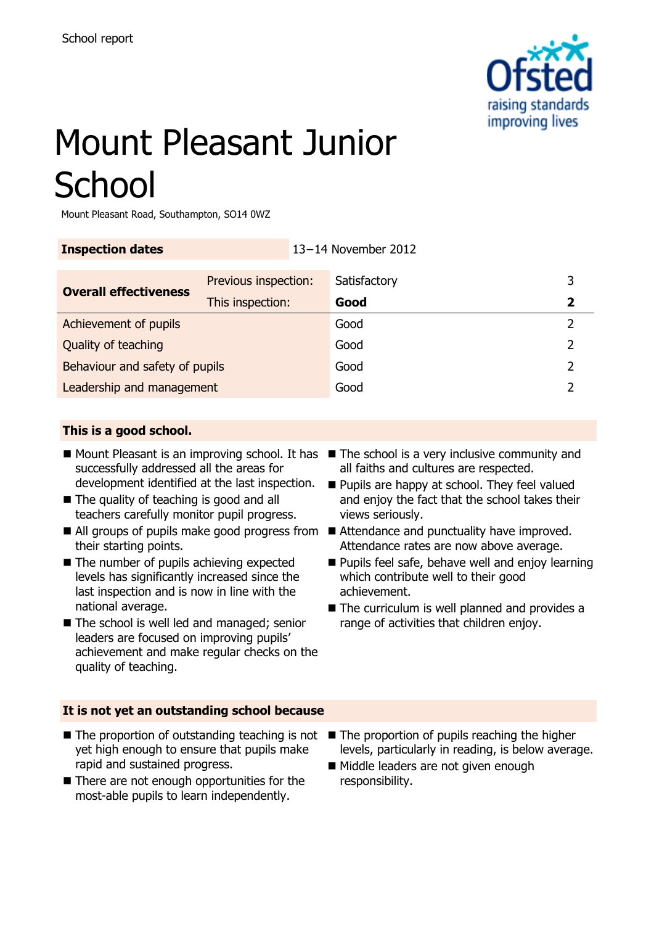

# Mount Pleasant Junior **School**

Mount Pleasant Road, Southampton, SO14 0WZ

| <b>Inspection dates</b>        |                      | 13-14 November 2012 |              |               |
|--------------------------------|----------------------|---------------------|--------------|---------------|
| <b>Overall effectiveness</b>   | Previous inspection: |                     | Satisfactory | 3             |
|                                | This inspection:     |                     | Good         | 2             |
| Achievement of pupils          |                      | Good                | 2            |               |
| Quality of teaching            |                      | Good                | 2            |               |
| Behaviour and safety of pupils |                      |                     | Good         | $\mathcal{P}$ |
| Leadership and management      |                      |                     | Good         |               |

## **This is a good school.**

- Mount Pleasant is an improving school. It has The school is a very inclusive community and successfully addressed all the areas for development identified at the last inspection.
- The quality of teaching is good and all teachers carefully monitor pupil progress.
- All groups of pupils make good progress from Attendance and punctuality have improved. their starting points.
- The number of pupils achieving expected levels has significantly increased since the last inspection and is now in line with the national average.
- The school is well led and managed; senior leaders are focused on improving pupils' achievement and make regular checks on the quality of teaching.
- all faiths and cultures are respected.
- **Pupils are happy at school. They feel valued** and enjoy the fact that the school takes their views seriously.
- Attendance rates are now above average.
- **Pupils feel safe, behave well and enjoy learning** which contribute well to their good achievement.
- The curriculum is well planned and provides a range of activities that children enjoy.

#### **It is not yet an outstanding school because**

- The proportion of outstanding teaching is not yet high enough to ensure that pupils make rapid and sustained progress.
- There are not enough opportunities for the most-able pupils to learn independently.
- $\blacksquare$  The proportion of pupils reaching the higher levels, particularly in reading, is below average.
- Middle leaders are not given enough responsibility.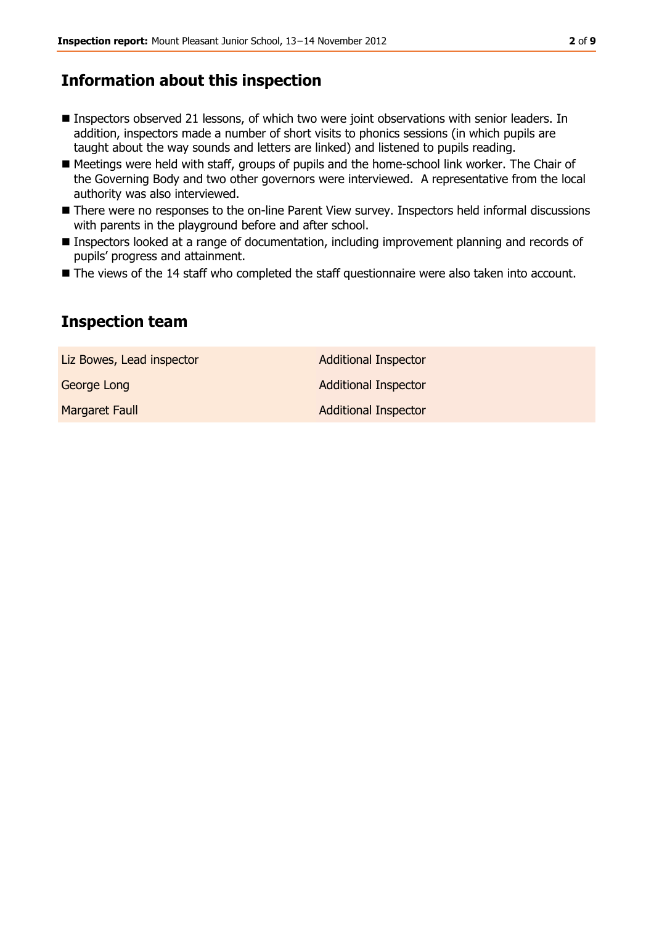# **Information about this inspection**

- Inspectors observed 21 lessons, of which two were joint observations with senior leaders. In addition, inspectors made a number of short visits to phonics sessions (in which pupils are taught about the way sounds and letters are linked) and listened to pupils reading.
- Meetings were held with staff, groups of pupils and the home-school link worker. The Chair of the Governing Body and two other governors were interviewed. A representative from the local authority was also interviewed.
- There were no responses to the on-line Parent View survey. Inspectors held informal discussions with parents in the playground before and after school.
- Inspectors looked at a range of documentation, including improvement planning and records of pupils' progress and attainment.
- The views of the 14 staff who completed the staff questionnaire were also taken into account.

# **Inspection team**

Liz Bowes, Lead inspector and a set of Additional Inspector George Long **Additional Inspector** Margaret Faull **Additional Inspector**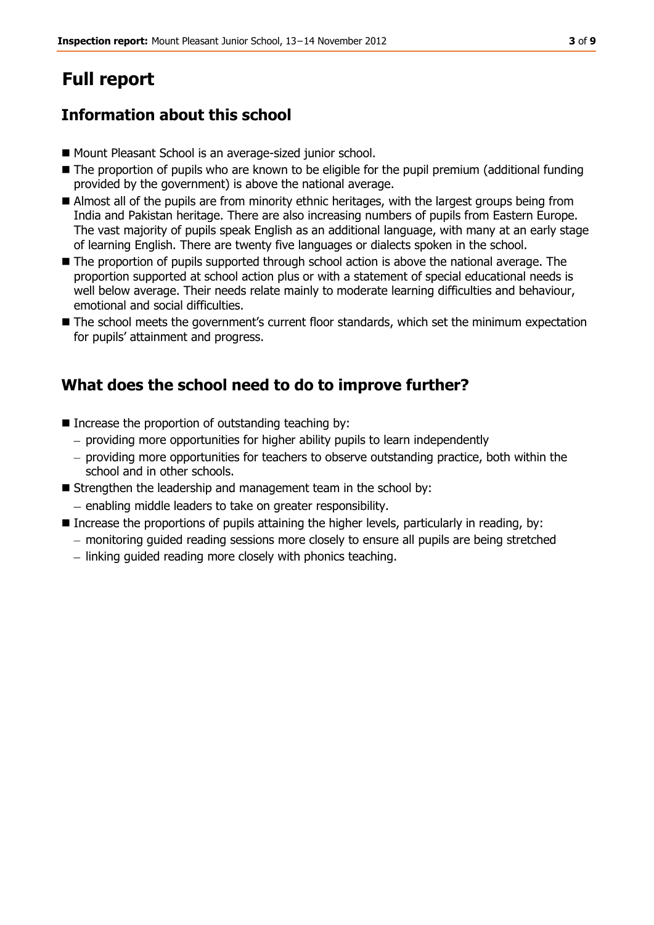# **Full report**

# **Information about this school**

- Mount Pleasant School is an average-sized junior school.
- The proportion of pupils who are known to be eligible for the pupil premium (additional funding provided by the government) is above the national average.
- Almost all of the pupils are from minority ethnic heritages, with the largest groups being from India and Pakistan heritage. There are also increasing numbers of pupils from Eastern Europe. The vast majority of pupils speak English as an additional language, with many at an early stage of learning English. There are twenty five languages or dialects spoken in the school.
- The proportion of pupils supported through school action is above the national average. The proportion supported at school action plus or with a statement of special educational needs is well below average. Their needs relate mainly to moderate learning difficulties and behaviour, emotional and social difficulties.
- $\blacksquare$  The school meets the government's current floor standards, which set the minimum expectation for pupils' attainment and progress.

# **What does the school need to do to improve further?**

- $\blacksquare$  Increase the proportion of outstanding teaching by:
	- providing more opportunities for higher ability pupils to learn independently
	- $-$  providing more opportunities for teachers to observe outstanding practice, both within the school and in other schools.
- Strengthen the leadership and management team in the school by:
	- enabling middle leaders to take on greater responsibility.
- Increase the proportions of pupils attaining the higher levels, particularly in reading, by:
	- monitoring guided reading sessions more closely to ensure all pupils are being stretched
	- $-$  linking guided reading more closely with phonics teaching.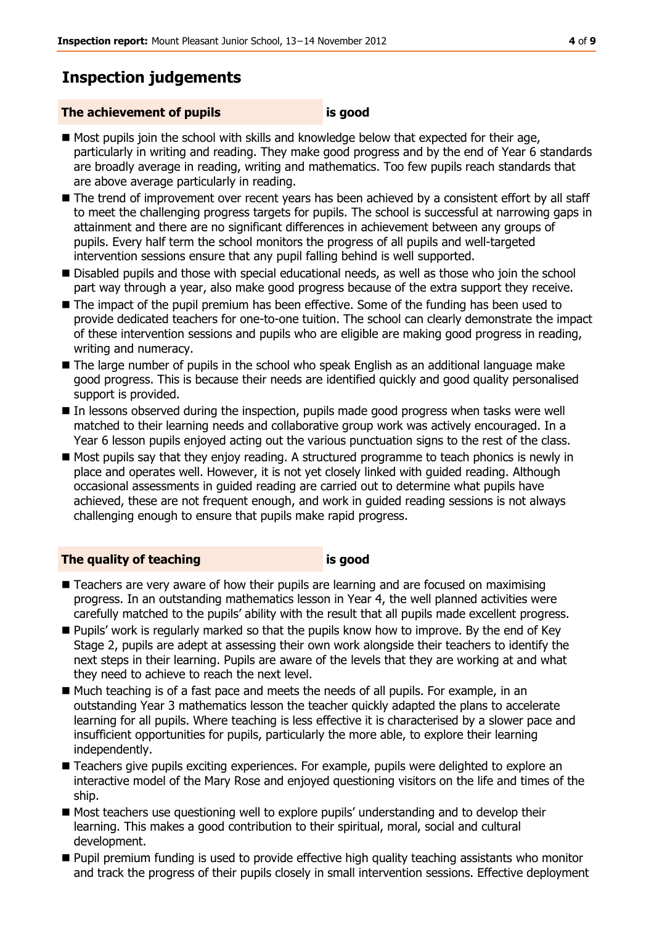# **Inspection judgements**

#### **The achievement of pupils is good**

- 
- Most pupils join the school with skills and knowledge below that expected for their age, particularly in writing and reading. They make good progress and by the end of Year 6 standards are broadly average in reading, writing and mathematics. Too few pupils reach standards that are above average particularly in reading.
- The trend of improvement over recent years has been achieved by a consistent effort by all staff to meet the challenging progress targets for pupils. The school is successful at narrowing gaps in attainment and there are no significant differences in achievement between any groups of pupils. Every half term the school monitors the progress of all pupils and well-targeted intervention sessions ensure that any pupil falling behind is well supported.
- Disabled pupils and those with special educational needs, as well as those who join the school part way through a year, also make good progress because of the extra support they receive.
- The impact of the pupil premium has been effective. Some of the funding has been used to provide dedicated teachers for one-to-one tuition. The school can clearly demonstrate the impact of these intervention sessions and pupils who are eligible are making good progress in reading, writing and numeracy.
- The large number of pupils in the school who speak English as an additional language make good progress. This is because their needs are identified quickly and good quality personalised support is provided.
- In lessons observed during the inspection, pupils made good progress when tasks were well matched to their learning needs and collaborative group work was actively encouraged. In a Year 6 lesson pupils enjoyed acting out the various punctuation signs to the rest of the class.
- Most pupils say that they enjoy reading. A structured programme to teach phonics is newly in place and operates well. However, it is not yet closely linked with guided reading. Although occasional assessments in guided reading are carried out to determine what pupils have achieved, these are not frequent enough, and work in guided reading sessions is not always challenging enough to ensure that pupils make rapid progress.

## **The quality of teaching is good**

- Teachers are very aware of how their pupils are learning and are focused on maximising progress. In an outstanding mathematics lesson in Year 4, the well planned activities were carefully matched to the pupils' ability with the result that all pupils made excellent progress.
- **Pupils'** work is regularly marked so that the pupils know how to improve. By the end of Key Stage 2, pupils are adept at assessing their own work alongside their teachers to identify the next steps in their learning. Pupils are aware of the levels that they are working at and what they need to achieve to reach the next level.
- $\blacksquare$  Much teaching is of a fast pace and meets the needs of all pupils. For example, in an outstanding Year 3 mathematics lesson the teacher quickly adapted the plans to accelerate learning for all pupils. Where teaching is less effective it is characterised by a slower pace and insufficient opportunities for pupils, particularly the more able, to explore their learning independently.
- **Teachers give pupils exciting experiences. For example, pupils were delighted to explore an** interactive model of the Mary Rose and enjoyed questioning visitors on the life and times of the ship.
- Most teachers use questioning well to explore pupils' understanding and to develop their learning. This makes a good contribution to their spiritual, moral, social and cultural development.
- **Pupil premium funding is used to provide effective high quality teaching assistants who monitor** and track the progress of their pupils closely in small intervention sessions. Effective deployment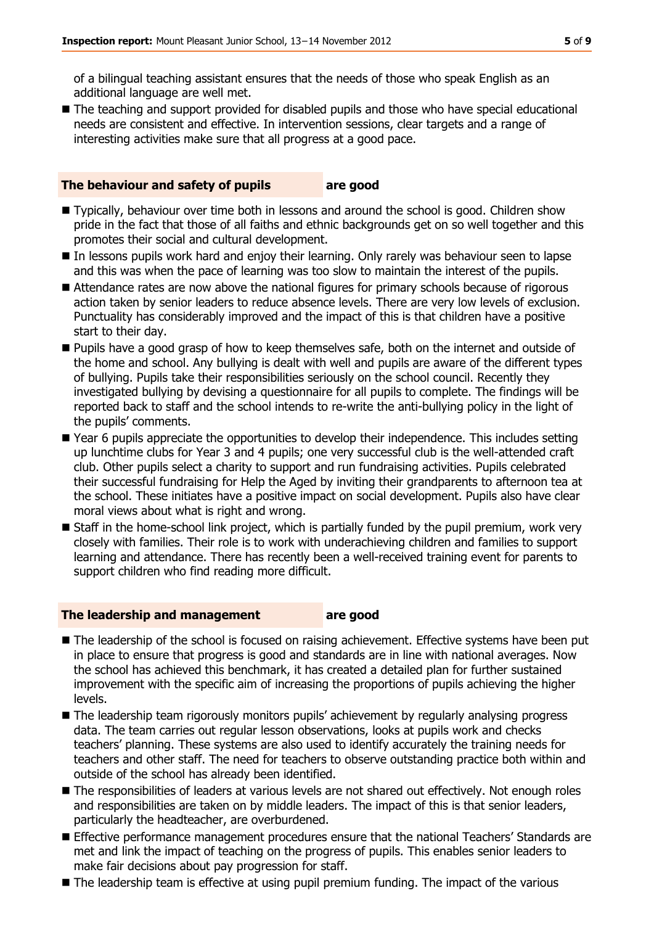of a bilingual teaching assistant ensures that the needs of those who speak English as an additional language are well met.

■ The teaching and support provided for disabled pupils and those who have special educational needs are consistent and effective. In intervention sessions, clear targets and a range of interesting activities make sure that all progress at a good pace.

#### **The behaviour and safety of pupils are good**

- Typically, behaviour over time both in lessons and around the school is good. Children show pride in the fact that those of all faiths and ethnic backgrounds get on so well together and this promotes their social and cultural development.
- In lessons pupils work hard and enjoy their learning. Only rarely was behaviour seen to lapse and this was when the pace of learning was too slow to maintain the interest of the pupils.
- Attendance rates are now above the national figures for primary schools because of rigorous action taken by senior leaders to reduce absence levels. There are very low levels of exclusion. Punctuality has considerably improved and the impact of this is that children have a positive start to their day.
- **Pupils have a good grasp of how to keep themselves safe, both on the internet and outside of** the home and school. Any bullying is dealt with well and pupils are aware of the different types of bullying. Pupils take their responsibilities seriously on the school council. Recently they investigated bullying by devising a questionnaire for all pupils to complete. The findings will be reported back to staff and the school intends to re-write the anti-bullying policy in the light of the pupils' comments.
- Year 6 pupils appreciate the opportunities to develop their independence. This includes setting up lunchtime clubs for Year 3 and 4 pupils; one very successful club is the well-attended craft club. Other pupils select a charity to support and run fundraising activities. Pupils celebrated their successful fundraising for Help the Aged by inviting their grandparents to afternoon tea at the school. These initiates have a positive impact on social development. Pupils also have clear moral views about what is right and wrong.
- Staff in the home-school link project, which is partially funded by the pupil premium, work very closely with families. Their role is to work with underachieving children and families to support learning and attendance. There has recently been a well-received training event for parents to support children who find reading more difficult.

#### **The leadership and management are good**

- The leadership of the school is focused on raising achievement. Effective systems have been put in place to ensure that progress is good and standards are in line with national averages. Now the school has achieved this benchmark, it has created a detailed plan for further sustained improvement with the specific aim of increasing the proportions of pupils achieving the higher levels.
- The leadership team rigorously monitors pupils' achievement by regularly analysing progress data. The team carries out regular lesson observations, looks at pupils work and checks teachers' planning. These systems are also used to identify accurately the training needs for teachers and other staff. The need for teachers to observe outstanding practice both within and outside of the school has already been identified.
- The responsibilities of leaders at various levels are not shared out effectively. Not enough roles and responsibilities are taken on by middle leaders. The impact of this is that senior leaders, particularly the headteacher, are overburdened.
- **Effective performance management procedures ensure that the national Teachers' Standards are** met and link the impact of teaching on the progress of pupils. This enables senior leaders to make fair decisions about pay progression for staff.
- The leadership team is effective at using pupil premium funding. The impact of the various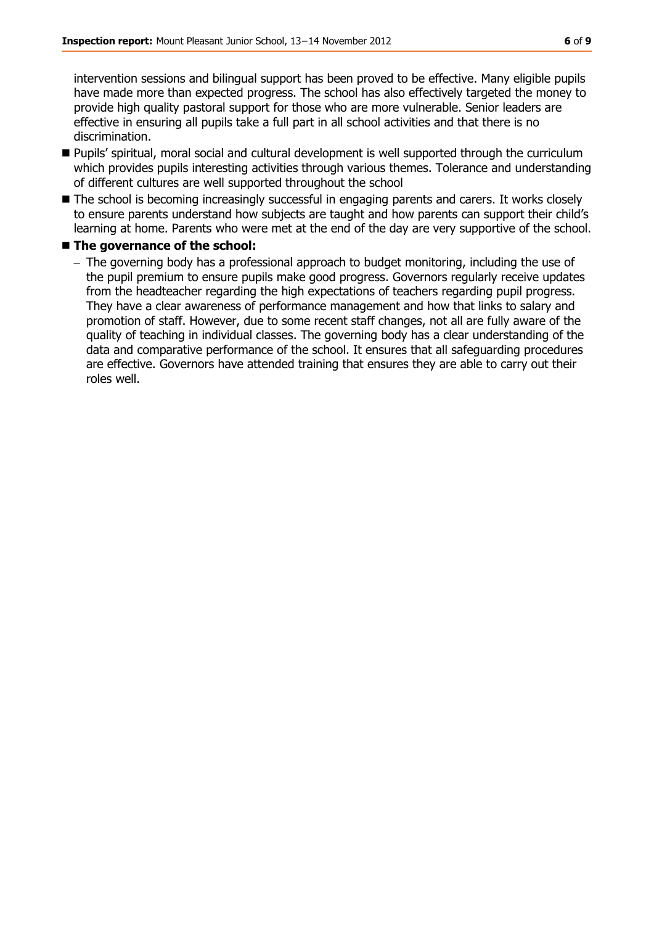intervention sessions and bilingual support has been proved to be effective. Many eligible pupils have made more than expected progress. The school has also effectively targeted the money to provide high quality pastoral support for those who are more vulnerable. Senior leaders are effective in ensuring all pupils take a full part in all school activities and that there is no discrimination.

- Pupils' spiritual, moral social and cultural development is well supported through the curriculum which provides pupils interesting activities through various themes. Tolerance and understanding of different cultures are well supported throughout the school
- The school is becoming increasingly successful in engaging parents and carers. It works closely to ensure parents understand how subjects are taught and how parents can support their child's learning at home. Parents who were met at the end of the day are very supportive of the school.
- The governance of the school:
	- The governing body has a professional approach to budget monitoring, including the use of the pupil premium to ensure pupils make good progress. Governors regularly receive updates from the headteacher regarding the high expectations of teachers regarding pupil progress. They have a clear awareness of performance management and how that links to salary and promotion of staff. However, due to some recent staff changes, not all are fully aware of the quality of teaching in individual classes. The governing body has a clear understanding of the data and comparative performance of the school. It ensures that all safeguarding procedures are effective. Governors have attended training that ensures they are able to carry out their roles well.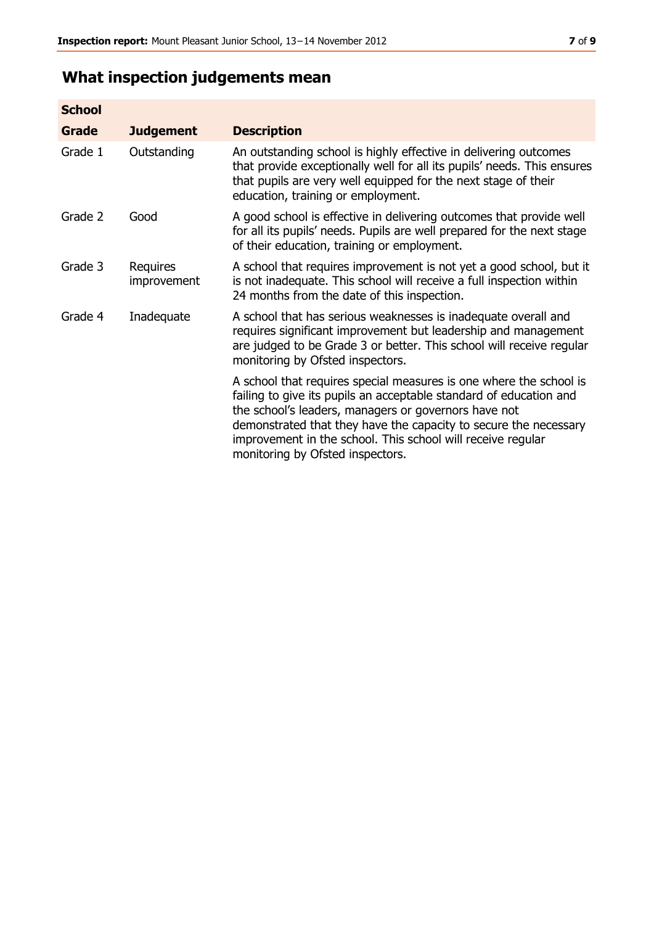# **What inspection judgements mean**

| <b>School</b> |                         |                                                                                                                                                                                                                                                                                                                                                                         |
|---------------|-------------------------|-------------------------------------------------------------------------------------------------------------------------------------------------------------------------------------------------------------------------------------------------------------------------------------------------------------------------------------------------------------------------|
| Grade         | <b>Judgement</b>        | <b>Description</b>                                                                                                                                                                                                                                                                                                                                                      |
| Grade 1       | Outstanding             | An outstanding school is highly effective in delivering outcomes<br>that provide exceptionally well for all its pupils' needs. This ensures<br>that pupils are very well equipped for the next stage of their<br>education, training or employment.                                                                                                                     |
| Grade 2       | Good                    | A good school is effective in delivering outcomes that provide well<br>for all its pupils' needs. Pupils are well prepared for the next stage<br>of their education, training or employment.                                                                                                                                                                            |
| Grade 3       | Requires<br>improvement | A school that requires improvement is not yet a good school, but it<br>is not inadequate. This school will receive a full inspection within<br>24 months from the date of this inspection.                                                                                                                                                                              |
| Grade 4       | Inadequate              | A school that has serious weaknesses is inadequate overall and<br>requires significant improvement but leadership and management<br>are judged to be Grade 3 or better. This school will receive regular<br>monitoring by Ofsted inspectors.                                                                                                                            |
|               |                         | A school that requires special measures is one where the school is<br>failing to give its pupils an acceptable standard of education and<br>the school's leaders, managers or governors have not<br>demonstrated that they have the capacity to secure the necessary<br>improvement in the school. This school will receive regular<br>monitoring by Ofsted inspectors. |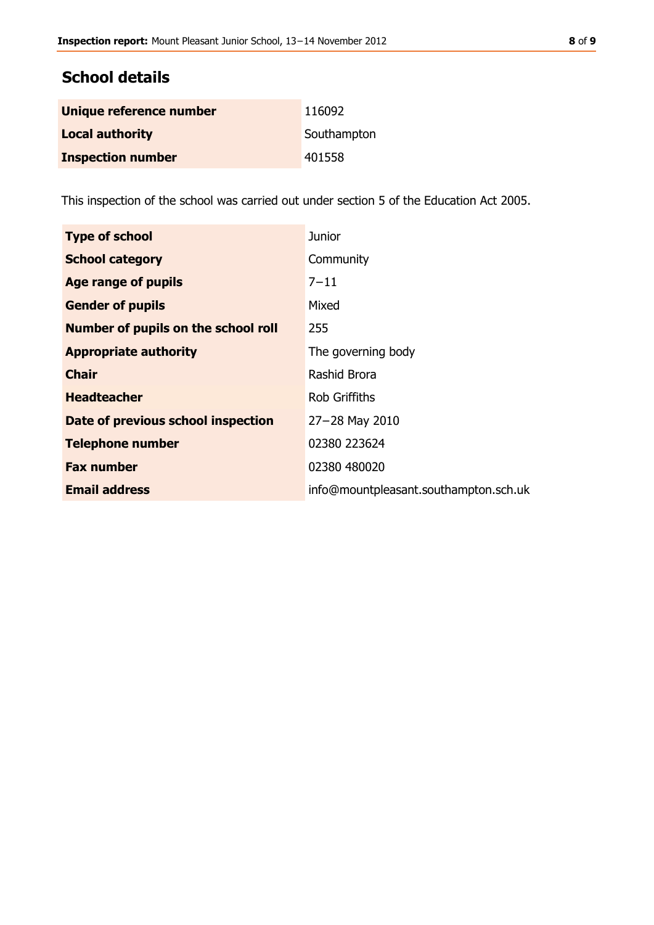# **School details**

| Unique reference number  | 116092      |
|--------------------------|-------------|
| <b>Local authority</b>   | Southampton |
| <b>Inspection number</b> | 401558      |

This inspection of the school was carried out under section 5 of the Education Act 2005.

| <b>Type of school</b>               | <b>Junior</b>                         |
|-------------------------------------|---------------------------------------|
| <b>School category</b>              | Community                             |
| Age range of pupils                 | $7 - 11$                              |
| <b>Gender of pupils</b>             | Mixed                                 |
| Number of pupils on the school roll | 255                                   |
| <b>Appropriate authority</b>        | The governing body                    |
| <b>Chair</b>                        | Rashid Brora                          |
| <b>Headteacher</b>                  | <b>Rob Griffiths</b>                  |
| Date of previous school inspection  | $27 - 28$ May 2010                    |
| <b>Telephone number</b>             | 02380 223624                          |
| <b>Fax number</b>                   | 02380 480020                          |
| <b>Email address</b>                | info@mountpleasant.southampton.sch.uk |